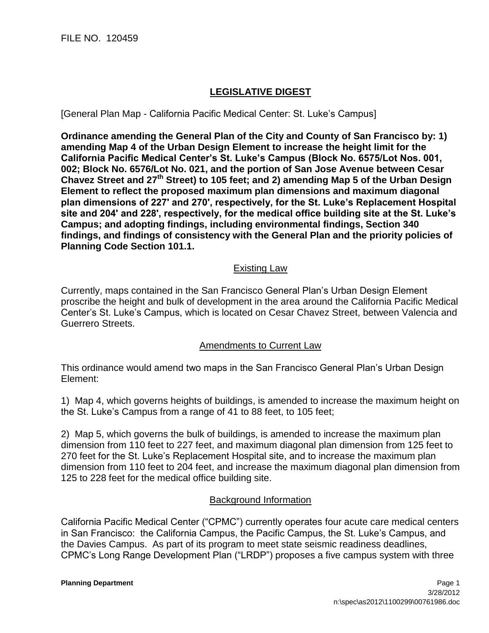FILE NO. 120459

## **LEGISLATIVE DIGEST**

[General Plan Map - California Pacific Medical Center: St. Luke's Campus]

**Ordinance amending the General Plan of the City and County of San Francisco by: 1) amending Map 4 of the Urban Design Element to increase the height limit for the California Pacific Medical Center's St. Luke's Campus (Block No. 6575/Lot Nos. 001, 002; Block No. 6576/Lot No. 021, and the portion of San Jose Avenue between Cesar Chavez Street and 27th Street) to 105 feet; and 2) amending Map 5 of the Urban Design Element to reflect the proposed maximum plan dimensions and maximum diagonal plan dimensions of 227' and 270', respectively, for the St. Luke's Replacement Hospital site and 204' and 228', respectively, for the medical office building site at the St. Luke's Campus; and adopting findings, including environmental findings, Section 340 findings, and findings of consistency with the General Plan and the priority policies of Planning Code Section 101.1.**

## Existing Law

Currently, maps contained in the San Francisco General Plan's Urban Design Element proscribe the height and bulk of development in the area around the California Pacific Medical Center's St. Luke's Campus, which is located on Cesar Chavez Street, between Valencia and Guerrero Streets.

## Amendments to Current Law

This ordinance would amend two maps in the San Francisco General Plan's Urban Design Element:

1) Map 4, which governs heights of buildings, is amended to increase the maximum height on the St. Luke's Campus from a range of 41 to 88 feet, to 105 feet;

2) Map 5, which governs the bulk of buildings, is amended to increase the maximum plan dimension from 110 feet to 227 feet, and maximum diagonal plan dimension from 125 feet to 270 feet for the St. Luke's Replacement Hospital site, and to increase the maximum plan dimension from 110 feet to 204 feet, and increase the maximum diagonal plan dimension from 125 to 228 feet for the medical office building site.

## Background Information

California Pacific Medical Center ("CPMC") currently operates four acute care medical centers in San Francisco: the California Campus, the Pacific Campus, the St. Luke's Campus, and the Davies Campus. As part of its program to meet state seismic readiness deadlines, CPMC's Long Range Development Plan ("LRDP") proposes a five campus system with three